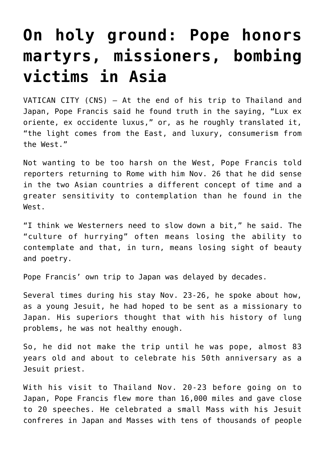## **[On holy ground: Pope honors](https://www.osvnews.com/2019/11/26/on-holy-ground-pope-honors-martyrs-missioners-bombing-victims-in-asia/) [martyrs, missioners, bombing](https://www.osvnews.com/2019/11/26/on-holy-ground-pope-honors-martyrs-missioners-bombing-victims-in-asia/) [victims in Asia](https://www.osvnews.com/2019/11/26/on-holy-ground-pope-honors-martyrs-missioners-bombing-victims-in-asia/)**

VATICAN CITY (CNS) — At the end of his trip to Thailand and Japan, Pope Francis said he found truth in the saying, "Lux ex oriente, ex occidente luxus," or, as he roughly translated it, "the light comes from the East, and luxury, consumerism from the West."

Not wanting to be too harsh on the West, Pope Francis told reporters returning to Rome with him Nov. 26 that he did sense in the two Asian countries a different concept of time and a greater sensitivity to contemplation than he found in the West.

"I think we Westerners need to slow down a bit," he said. The "culture of hurrying" often means losing the ability to contemplate and that, in turn, means losing sight of beauty and poetry.

Pope Francis' own trip to Japan was delayed by decades.

Several times during his stay Nov. 23-26, he spoke about how, as a young Jesuit, he had hoped to be sent as a missionary to Japan. His superiors thought that with his history of lung problems, he was not healthy enough.

So, he did not make the trip until he was pope, almost 83 years old and about to celebrate his 50th anniversary as a Jesuit priest.

With his visit to Thailand Nov. 20-23 before going on to Japan, Pope Francis flew more than 16,000 miles and gave close to 20 speeches. He celebrated a small Mass with his Jesuit confreres in Japan and Masses with tens of thousands of people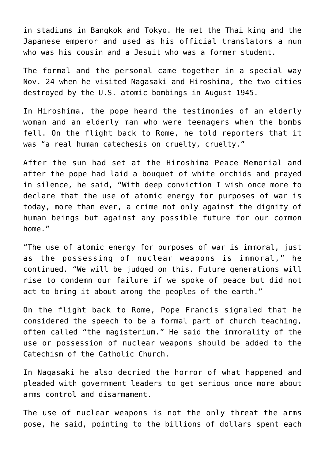in stadiums in Bangkok and Tokyo. He met the Thai king and the Japanese emperor and used as his official translators a nun who was his cousin and a Jesuit who was a former student.

The formal and the personal came together in a special way Nov. 24 when he visited Nagasaki and Hiroshima, the two cities destroyed by the U.S. atomic bombings in August 1945.

In Hiroshima, the pope heard the testimonies of an elderly woman and an elderly man who were teenagers when the bombs fell. On the flight back to Rome, he told reporters that it was "a real human catechesis on cruelty, cruelty."

After the sun had set at the Hiroshima Peace Memorial and after the pope had laid a bouquet of white orchids and prayed in silence, he said, "With deep conviction I wish once more to declare that the use of atomic energy for purposes of war is today, more than ever, a crime not only against the dignity of human beings but against any possible future for our common home."

"The use of atomic energy for purposes of war is immoral, just as the possessing of nuclear weapons is immoral," he continued. "We will be judged on this. Future generations will rise to condemn our failure if we spoke of peace but did not act to bring it about among the peoples of the earth."

On the flight back to Rome, Pope Francis signaled that he considered the speech to be a formal part of church teaching, often called "the magisterium." He said the immorality of the use or possession of nuclear weapons should be added to the Catechism of the Catholic Church.

In Nagasaki he also decried the horror of what happened and pleaded with government leaders to get serious once more about arms control and disarmament.

The use of nuclear weapons is not the only threat the arms pose, he said, pointing to the billions of dollars spent each